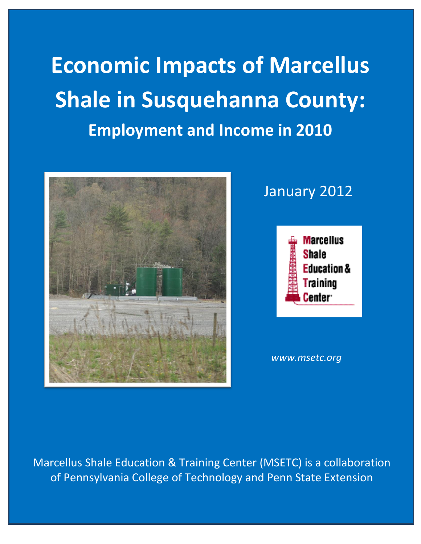**Economic Impacts of Marcellus Shale in Susquehanna County: Employment and Income in 2010**



## January 2012



*www.msetc.org*

Marcellus Shale Education & Training Center (MSETC) is a collaboration of Pennsylvania College of Technology and Penn State Extension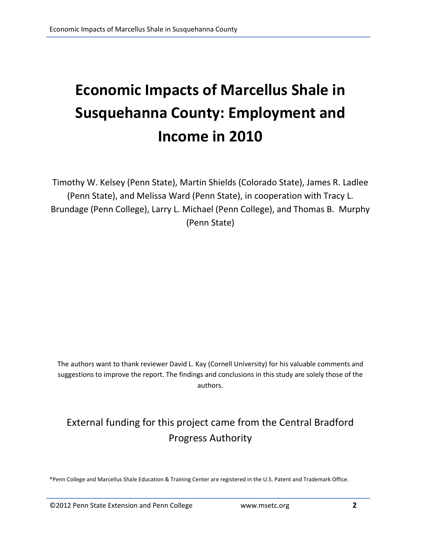# **Economic Impacts of Marcellus Shale in Susquehanna County: Employment and Income in 2010**

Timothy W. Kelsey (Penn State), Martin Shields (Colorado State), James R. Ladlee (Penn State), and Melissa Ward (Penn State), in cooperation with Tracy L. Brundage (Penn College), Larry L. Michael (Penn College), and Thomas B. Murphy (Penn State)

The authors want to thank reviewer David L. Kay (Cornell University) for his valuable comments and suggestions to improve the report. The findings and conclusions in this study are solely those of the authors.

### External funding for this project came from the Central Bradford Progress Authority

®Penn College and Marcellus Shale Education & Training Center are registered in the U.S. Patent and Trademark Office.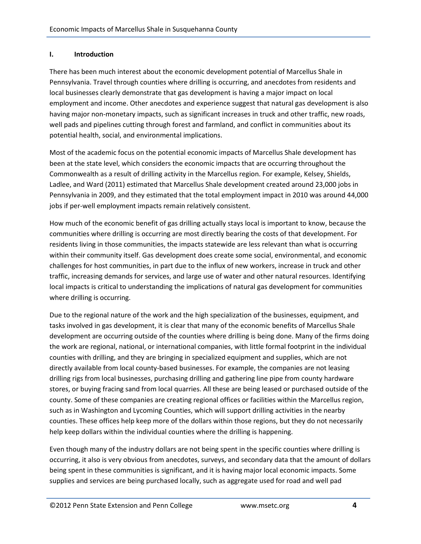#### **I. Introduction**

There has been much interest about the economic development potential of Marcellus Shale in Pennsylvania. Travel through counties where drilling is occurring, and anecdotes from residents and local businesses clearly demonstrate that gas development is having a major impact on local employment and income. Other anecdotes and experience suggest that natural gas development is also having major non-monetary impacts, such as significant increases in truck and other traffic, new roads, well pads and pipelines cutting through forest and farmland, and conflict in communities about its potential health, social, and environmental implications.

Most of the academic focus on the potential economic impacts of Marcellus Shale development has been at the state level, which considers the economic impacts that are occurring throughout the Commonwealth as a result of drilling activity in the Marcellus region. For example, Kelsey, Shields, Ladlee, and Ward (2011) estimated that Marcellus Shale development created around 23,000 jobs in Pennsylvania in 2009, and they estimated that the total employment impact in 2010 was around 44,000 jobs if per-well employment impacts remain relatively consistent.

How much of the economic benefit of gas drilling actually stays local is important to know, because the communities where drilling is occurring are most directly bearing the costs of that development. For residents living in those communities, the impacts statewide are less relevant than what is occurring within their community itself. Gas development does create some social, environmental, and economic challenges for host communities, in part due to the influx of new workers, increase in truck and other traffic, increasing demands for services, and large use of water and other natural resources. Identifying local impacts is critical to understanding the implications of natural gas development for communities where drilling is occurring.

Due to the regional nature of the work and the high specialization of the businesses, equipment, and tasks involved in gas development, it is clear that many of the economic benefits of Marcellus Shale development are occurring outside of the counties where drilling is being done. Many of the firms doing the work are regional, national, or international companies, with little formal footprint in the individual counties with drilling, and they are bringing in specialized equipment and supplies, which are not directly available from local county-based businesses. For example, the companies are not leasing drilling rigs from local businesses, purchasing drilling and gathering line pipe from county hardware stores, or buying fracing sand from local quarries. All these are being leased or purchased outside of the county. Some of these companies are creating regional offices or facilities within the Marcellus region, such as in Washington and Lycoming Counties, which will support drilling activities in the nearby counties. These offices help keep more of the dollars within those regions, but they do not necessarily help keep dollars within the individual counties where the drilling is happening.

Even though many of the industry dollars are not being spent in the specific counties where drilling is occurring, it also is very obvious from anecdotes, surveys, and secondary data that the amount of dollars being spent in these communities is significant, and it is having major local economic impacts. Some supplies and services are being purchased locally, such as aggregate used for road and well pad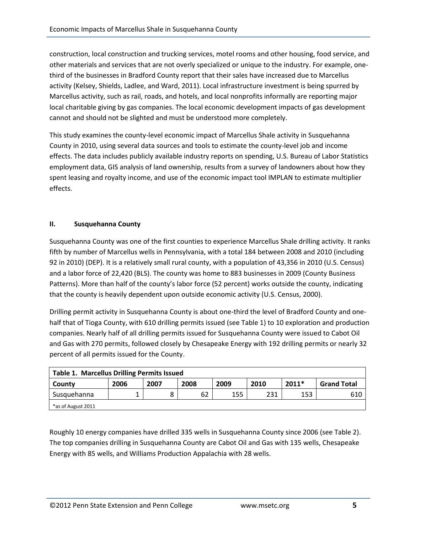construction, local construction and trucking services, motel rooms and other housing, food service, and other materials and services that are not overly specialized or unique to the industry. For example, onethird of the businesses in Bradford County report that their sales have increased due to Marcellus activity (Kelsey, Shields, Ladlee, and Ward, 2011). Local infrastructure investment is being spurred by Marcellus activity, such as rail, roads, and hotels, and local nonprofits informally are reporting major local charitable giving by gas companies. The local economic development impacts of gas development cannot and should not be slighted and must be understood more completely.

This study examines the county-level economic impact of Marcellus Shale activity in Susquehanna County in 2010, using several data sources and tools to estimate the county-level job and income effects. The data includes publicly available industry reports on spending, U.S. Bureau of Labor Statistics employment data, GIS analysis of land ownership, results from a survey of landowners about how they spent leasing and royalty income, and use of the economic impact tool IMPLAN to estimate multiplier effects.

#### **II. Susquehanna County**

Susquehanna County was one of the first counties to experience Marcellus Shale drilling activity. It ranks fifth by number of Marcellus wells in Pennsylvania, with a total 184 between 2008 and 2010 (including 92 in 2010) (DEP). It is a relatively small rural county, with a population of 43,356 in 2010 (U.S. Census) and a labor force of 22,420 (BLS). The county was home to 883 businesses in 2009 (County Business Patterns). More than half of the county's labor force (52 percent) works outside the county, indicating that the county is heavily dependent upon outside economic activity (U.S. Census, 2000).

Drilling permit activity in Susquehanna County is about one-third the level of Bradford County and onehalf that of Tioga County, with 610 drilling permits issued (see Table 1) to 10 exploration and production companies. Nearly half of all drilling permits issued for Susquehanna County were issued to Cabot Oil and Gas with 270 permits, followed closely by Chesapeake Energy with 192 drilling permits or nearly 32 percent of all permits issued for the County.

| Table 1. Marcellus Drilling Permits Issued |      |      |      |      |      |         |                    |
|--------------------------------------------|------|------|------|------|------|---------|--------------------|
| County                                     | 2006 | 2007 | 2008 | 2009 | 2010 | $2011*$ | <b>Grand Total</b> |
| Susquehanna                                |      |      | 62   | 155  | 231  | 153     | 610                |
| *as of August 2011                         |      |      |      |      |      |         |                    |

Roughly 10 energy companies have drilled 335 wells in Susquehanna County since 2006 (see Table 2). The top companies drilling in Susquehanna County are Cabot Oil and Gas with 135 wells, Chesapeake Energy with 85 wells, and Williams Production Appalachia with 28 wells.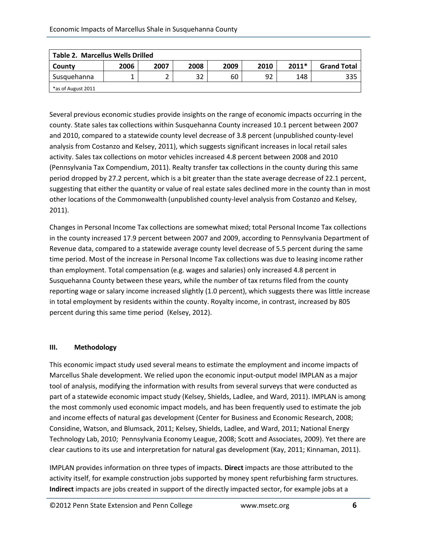| <b>Table 2. Marcellus Wells Drilled</b> |      |      |      |      |      |         |                    |
|-----------------------------------------|------|------|------|------|------|---------|--------------------|
| County                                  | 2006 | 2007 | 2008 | 2009 | 2010 | $2011*$ | <b>Grand Total</b> |
| Susquehanna                             |      | ے    | 32   | 60   | 92   | 148     | 335                |
| *as of August 2011                      |      |      |      |      |      |         |                    |

Several previous economic studies provide insights on the range of economic impacts occurring in the county. State sales tax collections within Susquehanna County increased 10.1 percent between 2007 and 2010, compared to a statewide county level decrease of 3.8 percent (unpublished county-level analysis from Costanzo and Kelsey, 2011), which suggests significant increases in local retail sales activity. Sales tax collections on motor vehicles increased 4.8 percent between 2008 and 2010 (Pennsylvania Tax Compendium, 2011). Realty transfer tax collections in the county during this same period dropped by 27.2 percent, which is a bit greater than the state average decrease of 22.1 percent, suggesting that either the quantity or value of real estate sales declined more in the county than in most other locations of the Commonwealth (unpublished county-level analysis from Costanzo and Kelsey, 2011).

Changes in Personal Income Tax collections are somewhat mixed; total Personal Income Tax collections in the county increased 17.9 percent between 2007 and 2009, according to Pennsylvania Department of Revenue data, compared to a statewide average county level decrease of 5.5 percent during the same time period. Most of the increase in Personal Income Tax collections was due to leasing income rather than employment. Total compensation (e.g. wages and salaries) only increased 4.8 percent in Susquehanna County between these years, while the number of tax returns filed from the county reporting wage or salary income increased slightly (1.0 percent), which suggests there was little increase in total employment by residents within the county. Royalty income, in contrast, increased by 805 percent during this same time period (Kelsey, 2012).

#### **III. Methodology**

This economic impact study used several means to estimate the employment and income impacts of Marcellus Shale development. We relied upon the economic input-output model IMPLAN as a major tool of analysis, modifying the information with results from several surveys that were conducted as part of a statewide economic impact study (Kelsey, Shields, Ladlee, and Ward, 2011). IMPLAN is among the most commonly used economic impact models, and has been frequently used to estimate the job and income effects of natural gas development (Center for Business and Economic Research, 2008; Considine, Watson, and Blumsack, 2011; Kelsey, Shields, Ladlee, and Ward, 2011; National Energy Technology Lab, 2010; Pennsylvania Economy League, 2008; Scott and Associates, 2009). Yet there are clear cautions to its use and interpretation for natural gas development (Kay, 2011; Kinnaman, 2011).

IMPLAN provides information on three types of impacts. **Direct** impacts are those attributed to the activity itself, for example construction jobs supported by money spent refurbishing farm structures. **Indirect** impacts are jobs created in support of the directly impacted sector, for example jobs at a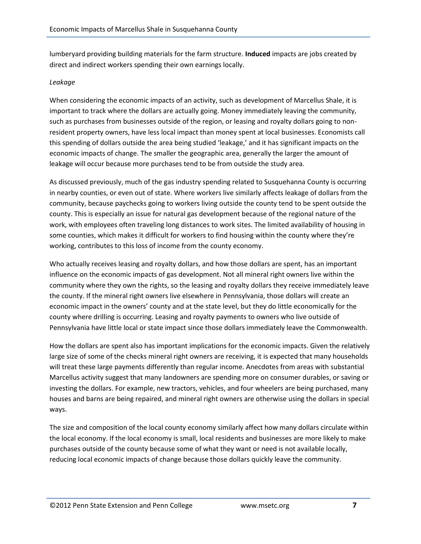lumberyard providing building materials for the farm structure. **Induced** impacts are jobs created by direct and indirect workers spending their own earnings locally.

#### *Leakage*

When considering the economic impacts of an activity, such as development of Marcellus Shale, it is important to track where the dollars are actually going. Money immediately leaving the community, such as purchases from businesses outside of the region, or leasing and royalty dollars going to nonresident property owners, have less local impact than money spent at local businesses. Economists call this spending of dollars outside the area being studied 'leakage,' and it has significant impacts on the economic impacts of change. The smaller the geographic area, generally the larger the amount of leakage will occur because more purchases tend to be from outside the study area.

As discussed previously, much of the gas industry spending related to Susquehanna County is occurring in nearby counties, or even out of state. Where workers live similarly affects leakage of dollars from the community, because paychecks going to workers living outside the county tend to be spent outside the county. This is especially an issue for natural gas development because of the regional nature of the work, with employees often traveling long distances to work sites. The limited availability of housing in some counties, which makes it difficult for workers to find housing within the county where they're working, contributes to this loss of income from the county economy.

Who actually receives leasing and royalty dollars, and how those dollars are spent, has an important influence on the economic impacts of gas development. Not all mineral right owners live within the community where they own the rights, so the leasing and royalty dollars they receive immediately leave the county. If the mineral right owners live elsewhere in Pennsylvania, those dollars will create an economic impact in the owners' county and at the state level, but they do little economically for the county where drilling is occurring. Leasing and royalty payments to owners who live outside of Pennsylvania have little local or state impact since those dollars immediately leave the Commonwealth.

How the dollars are spent also has important implications for the economic impacts. Given the relatively large size of some of the checks mineral right owners are receiving, it is expected that many households will treat these large payments differently than regular income. Anecdotes from areas with substantial Marcellus activity suggest that many landowners are spending more on consumer durables, or saving or investing the dollars. For example, new tractors, vehicles, and four wheelers are being purchased, many houses and barns are being repaired, and mineral right owners are otherwise using the dollars in special ways.

The size and composition of the local county economy similarly affect how many dollars circulate within the local economy. If the local economy is small, local residents and businesses are more likely to make purchases outside of the county because some of what they want or need is not available locally, reducing local economic impacts of change because those dollars quickly leave the community.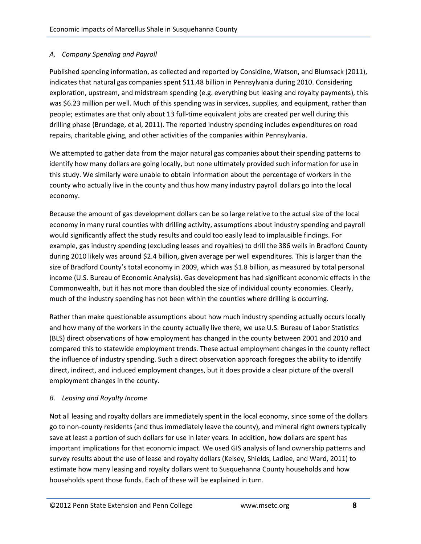#### *A. Company Spending and Payroll*

Published spending information, as collected and reported by Considine, Watson, and Blumsack (2011), indicates that natural gas companies spent \$11.48 billion in Pennsylvania during 2010. Considering exploration, upstream, and midstream spending (e.g. everything but leasing and royalty payments), this was \$6.23 million per well. Much of this spending was in services, supplies, and equipment, rather than people; estimates are that only about 13 full-time equivalent jobs are created per well during this drilling phase (Brundage, et al, 2011). The reported industry spending includes expenditures on road repairs, charitable giving, and other activities of the companies within Pennsylvania.

We attempted to gather data from the major natural gas companies about their spending patterns to identify how many dollars are going locally, but none ultimately provided such information for use in this study. We similarly were unable to obtain information about the percentage of workers in the county who actually live in the county and thus how many industry payroll dollars go into the local economy.

Because the amount of gas development dollars can be so large relative to the actual size of the local economy in many rural counties with drilling activity, assumptions about industry spending and payroll would significantly affect the study results and could too easily lead to implausible findings. For example, gas industry spending (excluding leases and royalties) to drill the 386 wells in Bradford County during 2010 likely was around \$2.4 billion, given average per well expenditures. This is larger than the size of Bradford County's total economy in 2009, which was \$1.8 billion, as measured by total personal income (U.S. Bureau of Economic Analysis). Gas development has had significant economic effects in the Commonwealth, but it has not more than doubled the size of individual county economies. Clearly, much of the industry spending has not been within the counties where drilling is occurring.

Rather than make questionable assumptions about how much industry spending actually occurs locally and how many of the workers in the county actually live there, we use U.S. Bureau of Labor Statistics (BLS) direct observations of how employment has changed in the county between 2001 and 2010 and compared this to statewide employment trends. These actual employment changes in the county reflect the influence of industry spending. Such a direct observation approach foregoes the ability to identify direct, indirect, and induced employment changes, but it does provide a clear picture of the overall employment changes in the county.

#### *B. Leasing and Royalty Income*

Not all leasing and royalty dollars are immediately spent in the local economy, since some of the dollars go to non-county residents (and thus immediately leave the county), and mineral right owners typically save at least a portion of such dollars for use in later years. In addition, how dollars are spent has important implications for that economic impact. We used GIS analysis of land ownership patterns and survey results about the use of lease and royalty dollars (Kelsey, Shields, Ladlee, and Ward, 2011) to estimate how many leasing and royalty dollars went to Susquehanna County households and how households spent those funds. Each of these will be explained in turn.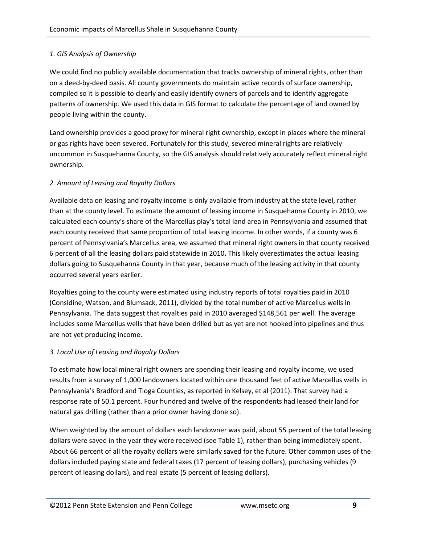#### *1. GIS Analysis of Ownership*

We could find no publicly available documentation that tracks ownership of mineral rights, other than on a deed-by-deed basis. All county governments do maintain active records of surface ownership, compiled so it is possible to clearly and easily identify owners of parcels and to identify aggregate patterns of ownership. We used this data in GIS format to calculate the percentage of land owned by people living within the county.

Land ownership provides a good proxy for mineral right ownership, except in places where the mineral or gas rights have been severed. Fortunately for this study, severed mineral rights are relatively uncommon in Susquehanna County, so the GIS analysis should relatively accurately reflect mineral right ownership.

#### *2. Amount of Leasing and Royalty Dollars*

Available data on leasing and royalty income is only available from industry at the state level, rather than at the county level. To estimate the amount of leasing income in Susquehanna County in 2010, we calculated each county's share of the Marcellus play's total land area in Pennsylvania and assumed that each county received that same proportion of total leasing income. In other words, if a county was 6 percent of Pennsylvania's Marcellus area, we assumed that mineral right owners in that county received 6 percent of all the leasing dollars paid statewide in 2010. This likely overestimates the actual leasing dollars going to Susquehanna County in that year, because much of the leasing activity in that county occurred several years earlier.

Royalties going to the county were estimated using industry reports of total royalties paid in 2010 (Considine, Watson, and Blumsack, 2011), divided by the total number of active Marcellus wells in Pennsylvania. The data suggest that royalties paid in 2010 averaged \$148,561 per well. The average includes some Marcellus wells that have been drilled but as yet are not hooked into pipelines and thus are not yet producing income.

#### *3. Local Use of Leasing and Royalty Dollars*

To estimate how local mineral right owners are spending their leasing and royalty income, we used results from a survey of 1,000 landowners located within one thousand feet of active Marcellus wells in Pennsylvania's Bradford and Tioga Counties, as reported in Kelsey, et al (2011). That survey had a response rate of 50.1 percent. Four hundred and twelve of the respondents had leased their land for natural gas drilling (rather than a prior owner having done so).

When weighted by the amount of dollars each landowner was paid, about 55 percent of the total leasing dollars were saved in the year they were received (see Table 1), rather than being immediately spent. About 66 percent of all the royalty dollars were similarly saved for the future. Other common uses of the dollars included paying state and federal taxes (17 percent of leasing dollars), purchasing vehicles (9 percent of leasing dollars), and real estate (5 percent of leasing dollars).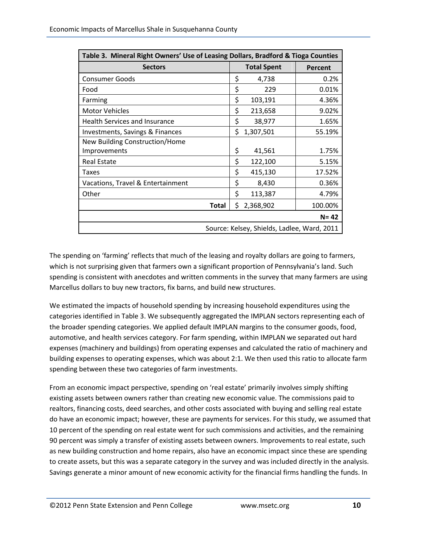| Table 3. Mineral Right Owners' Use of Leasing Dollars, Bradford & Tioga Counties |    |                    |          |  |  |
|----------------------------------------------------------------------------------|----|--------------------|----------|--|--|
| <b>Sectors</b>                                                                   |    | <b>Total Spent</b> | Percent  |  |  |
| <b>Consumer Goods</b>                                                            | \$ | 4,738              | 0.2%     |  |  |
| Food                                                                             | \$ | 229                | 0.01%    |  |  |
| Farming                                                                          | \$ | 103,191            | 4.36%    |  |  |
| <b>Motor Vehicles</b>                                                            | \$ | 213,658            | 9.02%    |  |  |
| <b>Health Services and Insurance</b>                                             | \$ | 38,977             | 1.65%    |  |  |
| Investments, Savings & Finances                                                  | \$ | 1,307,501          | 55.19%   |  |  |
| New Building Construction/Home                                                   |    |                    |          |  |  |
| Improvements                                                                     | \$ | 41,561             | 1.75%    |  |  |
| <b>Real Estate</b>                                                               | \$ | 122,100            | 5.15%    |  |  |
| Taxes                                                                            | \$ | 415,130            | 17.52%   |  |  |
| Vacations, Travel & Entertainment                                                | \$ | 8,430              | 0.36%    |  |  |
| Other                                                                            | \$ | 113,387            | 4.79%    |  |  |
| <b>Total</b>                                                                     | \$ | 2,368,902          | 100.00%  |  |  |
|                                                                                  |    |                    | $N = 42$ |  |  |
| Source: Kelsey, Shields, Ladlee, Ward, 2011                                      |    |                    |          |  |  |

The spending on 'farming' reflects that much of the leasing and royalty dollars are going to farmers, which is not surprising given that farmers own a significant proportion of Pennsylvania's land. Such spending is consistent with anecdotes and written comments in the survey that many farmers are using Marcellus dollars to buy new tractors, fix barns, and build new structures.

We estimated the impacts of household spending by increasing household expenditures using the categories identified in Table 3. We subsequently aggregated the IMPLAN sectors representing each of the broader spending categories. We applied default IMPLAN margins to the consumer goods, food, automotive, and health services category. For farm spending, within IMPLAN we separated out hard expenses (machinery and buildings) from operating expenses and calculated the ratio of machinery and building expenses to operating expenses, which was about 2:1. We then used this ratio to allocate farm spending between these two categories of farm investments.

From an economic impact perspective, spending on 'real estate' primarily involves simply shifting existing assets between owners rather than creating new economic value. The commissions paid to realtors, financing costs, deed searches, and other costs associated with buying and selling real estate do have an economic impact; however, these are payments for services. For this study, we assumed that 10 percent of the spending on real estate went for such commissions and activities, and the remaining 90 percent was simply a transfer of existing assets between owners. Improvements to real estate, such as new building construction and home repairs, also have an economic impact since these are spending to create assets, but this was a separate category in the survey and was included directly in the analysis. Savings generate a minor amount of new economic activity for the financial firms handling the funds. In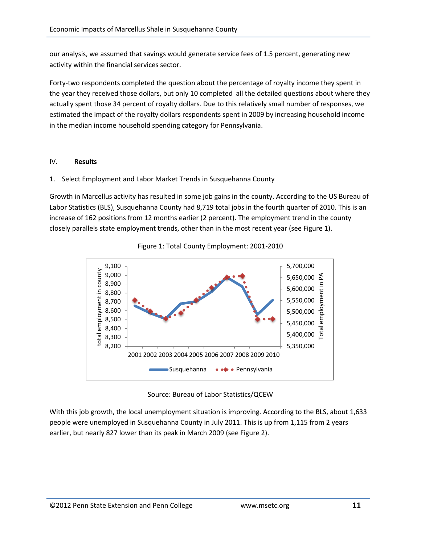our analysis, we assumed that savings would generate service fees of 1.5 percent, generating new activity within the financial services sector.

Forty-two respondents completed the question about the percentage of royalty income they spent in the year they received those dollars, but only 10 completed all the detailed questions about where they actually spent those 34 percent of royalty dollars. Due to this relatively small number of responses, we estimated the impact of the royalty dollars respondents spent in 2009 by increasing household income in the median income household spending category for Pennsylvania.

#### IV. **Results**

#### 1. Select Employment and Labor Market Trends in Susquehanna County

Growth in Marcellus activity has resulted in some job gains in the county. According to the US Bureau of Labor Statistics (BLS), Susquehanna County had 8,719 total jobs in the fourth quarter of 2010. This is an increase of 162 positions from 12 months earlier (2 percent). The employment trend in the county closely parallels state employment trends, other than in the most recent year (see Figure 1).



Figure 1: Total County Employment: 2001-2010

Source: Bureau of Labor Statistics/QCEW

With this job growth, the local unemployment situation is improving. According to the BLS, about 1,633 people were unemployed in Susquehanna County in July 2011. This is up from 1,115 from 2 years earlier, but nearly 827 lower than its peak in March 2009 (see Figure 2).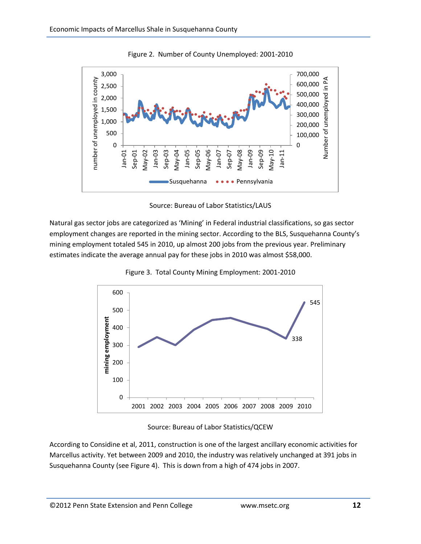

Figure 2. Number of County Unemployed: 2001-2010



Natural gas sector jobs are categorized as 'Mining' in Federal industrial classifications, so gas sector employment changes are reported in the mining sector. According to the BLS, Susquehanna County's mining employment totaled 545 in 2010, up almost 200 jobs from the previous year. Preliminary estimates indicate the average annual pay for these jobs in 2010 was almost \$58,000.



Figure 3. Total County Mining Employment: 2001-2010

Source: Bureau of Labor Statistics/QCEW

According to Considine et al, 2011, construction is one of the largest ancillary economic activities for Marcellus activity. Yet between 2009 and 2010, the industry was relatively unchanged at 391 jobs in Susquehanna County (see Figure 4). This is down from a high of 474 jobs in 2007.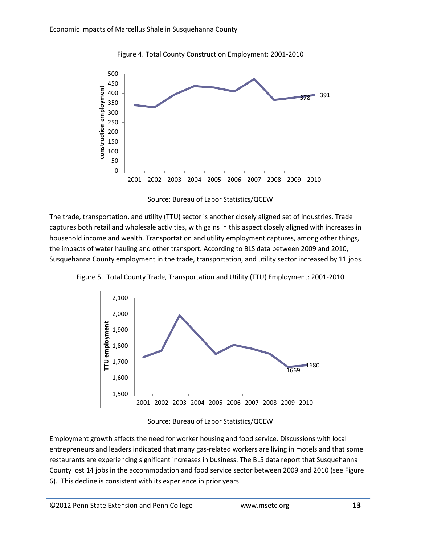

Figure 4. Total County Construction Employment: 2001-2010

Source: Bureau of Labor Statistics/QCEW

The trade, transportation, and utility (TTU) sector is another closely aligned set of industries. Trade captures both retail and wholesale activities, with gains in this aspect closely aligned with increases in household income and wealth. Transportation and utility employment captures, among other things, the impacts of water hauling and other transport. According to BLS data between 2009 and 2010, Susquehanna County employment in the trade, transportation, and utility sector increased by 11 jobs.



Figure 5. Total County Trade, Transportation and Utility (TTU) Employment: 2001-2010

Source: Bureau of Labor Statistics/QCEW

Employment growth affects the need for worker housing and food service. Discussions with local entrepreneurs and leaders indicated that many gas-related workers are living in motels and that some restaurants are experiencing significant increases in business. The BLS data report that Susquehanna County lost 14 jobs in the accommodation and food service sector between 2009 and 2010 (see Figure 6). This decline is consistent with its experience in prior years.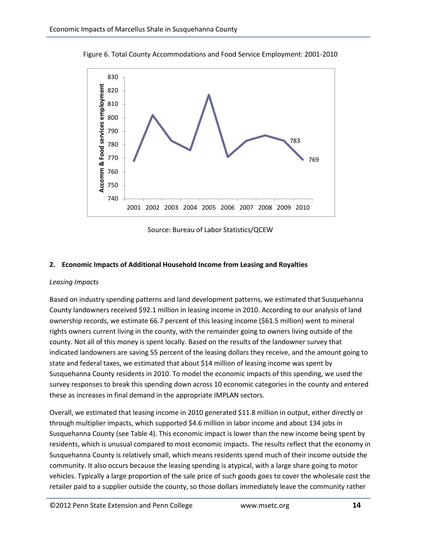

Figure 6. Total County Accommodations and Food Service Employment: 2001-2010

Source: Bureau of Labor Statistics/QCEW

#### **2. Economic Impacts of Additional Household Income from Leasing and Royalties**

#### *Leasing Impacts*

Based on industry spending patterns and land development patterns, we estimated that Susquehanna County landowners received \$92.1 million in leasing income in 2010. According to our analysis of land ownership records, we estimate 66.7 percent of this leasing income (\$61.5 million) went to mineral rights owners current living in the county, with the remainder going to owners living outside of the county. Not all of this money is spent locally. Based on the results of the landowner survey that indicated landowners are saving 55 percent of the leasing dollars they receive, and the amount going to state and federal taxes, we estimated that about \$14 million of leasing income was spent by Susquehanna County residents in 2010. To model the economic impacts of this spending, we used the survey responses to break this spending down across 10 economic categories in the county and entered these as increases in final demand in the appropriate IMPLAN sectors.

Overall, we estimated that leasing income in 2010 generated \$11.8 million in output, either directly or through multiplier impacts, which supported \$4.6 million in labor income and about 134 jobs in Susquehanna County (see Table 4). This economic impact is lower than the new income being spent by residents, which is unusual compared to most economic impacts. The results reflect that the economy in Susquehanna County is relatively small, which means residents spend much of their income outside the community. It also occurs because the leasing spending is atypical, with a large share going to motor vehicles. Typically a large proportion of the sale price of such goods goes to cover the wholesale cost the retailer paid to a supplier outside the county, so those dollars immediately leave the community rather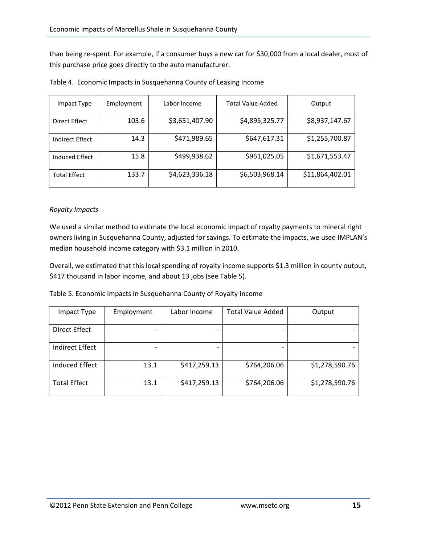than being re-spent. For example, if a consumer buys a new car for \$30,000 from a local dealer, most of this purchase price goes directly to the auto manufacturer.

| Impact Type         | Employment | Labor Income   | <b>Total Value Added</b> | Output          |
|---------------------|------------|----------------|--------------------------|-----------------|
| Direct Effect       | 103.6      | \$3,651,407.90 | \$4,895,325.77           | \$8,937,147.67  |
| Indirect Effect     | 14.3       | \$471,989.65   | \$647,617.31             | \$1,255,700.87  |
| Induced Effect      | 15.8       | \$499,938.62   | \$961,025.05             | \$1,671,553.47  |
| <b>Total Effect</b> | 133.7      | \$4,623,336.18 | \$6,503,968.14           | \$11,864,402.01 |

Table 4. Economic Impacts in Susquehanna County of Leasing Income

#### *Royalty Impacts*

We used a similar method to estimate the local economic impact of royalty payments to mineral right owners living in Susquehanna County, adjusted for savings. To estimate the impacts, we used IMPLAN's median household income category with \$3.1 million in 2010.

Overall, we estimated that this local spending of royalty income supports \$1.3 million in county output, \$417 thousand in labor income, and about 13 jobs (see Table 5).

| Table 5. Economic Impacts in Susquehanna County of Royalty Income |  |
|-------------------------------------------------------------------|--|
|-------------------------------------------------------------------|--|

| Impact Type           | Employment               | Labor Income | <b>Total Value Added</b> | Output         |
|-----------------------|--------------------------|--------------|--------------------------|----------------|
| Direct Effect         |                          |              |                          |                |
| Indirect Effect       | $\overline{\phantom{0}}$ |              | $\overline{\phantom{0}}$ |                |
| <b>Induced Effect</b> | 13.1                     | \$417,259.13 | \$764,206.06             | \$1,278,590.76 |
| <b>Total Effect</b>   | 13.1                     | \$417,259.13 | \$764,206.06             | \$1,278,590.76 |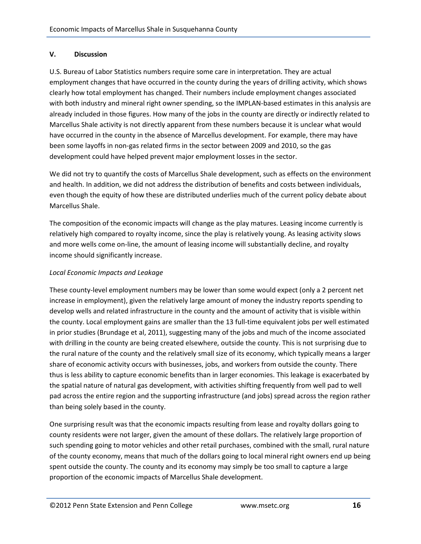#### **V. Discussion**

U.S. Bureau of Labor Statistics numbers require some care in interpretation. They are actual employment changes that have occurred in the county during the years of drilling activity, which shows clearly how total employment has changed. Their numbers include employment changes associated with both industry and mineral right owner spending, so the IMPLAN-based estimates in this analysis are already included in those figures. How many of the jobs in the county are directly or indirectly related to Marcellus Shale activity is not directly apparent from these numbers because it is unclear what would have occurred in the county in the absence of Marcellus development. For example, there may have been some layoffs in non-gas related firms in the sector between 2009 and 2010, so the gas development could have helped prevent major employment losses in the sector.

We did not try to quantify the costs of Marcellus Shale development, such as effects on the environment and health. In addition, we did not address the distribution of benefits and costs between individuals, even though the equity of how these are distributed underlies much of the current policy debate about Marcellus Shale.

The composition of the economic impacts will change as the play matures. Leasing income currently is relatively high compared to royalty income, since the play is relatively young. As leasing activity slows and more wells come on-line, the amount of leasing income will substantially decline, and royalty income should significantly increase.

#### *Local Economic Impacts and Leakage*

These county-level employment numbers may be lower than some would expect (only a 2 percent net increase in employment), given the relatively large amount of money the industry reports spending to develop wells and related infrastructure in the county and the amount of activity that is visible within the county. Local employment gains are smaller than the 13 full-time equivalent jobs per well estimated in prior studies (Brundage et al, 2011), suggesting many of the jobs and much of the income associated with drilling in the county are being created elsewhere, outside the county. This is not surprising due to the rural nature of the county and the relatively small size of its economy, which typically means a larger share of economic activity occurs with businesses, jobs, and workers from outside the county. There thus is less ability to capture economic benefits than in larger economies. This leakage is exacerbated by the spatial nature of natural gas development, with activities shifting frequently from well pad to well pad across the entire region and the supporting infrastructure (and jobs) spread across the region rather than being solely based in the county.

One surprising result was that the economic impacts resulting from lease and royalty dollars going to county residents were not larger, given the amount of these dollars. The relatively large proportion of such spending going to motor vehicles and other retail purchases, combined with the small, rural nature of the county economy, means that much of the dollars going to local mineral right owners end up being spent outside the county. The county and its economy may simply be too small to capture a large proportion of the economic impacts of Marcellus Shale development.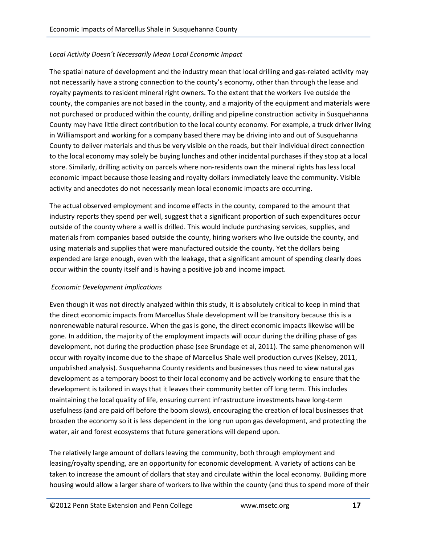#### *Local Activity Doesn't Necessarily Mean Local Economic Impact*

The spatial nature of development and the industry mean that local drilling and gas-related activity may not necessarily have a strong connection to the county's economy, other than through the lease and royalty payments to resident mineral right owners. To the extent that the workers live outside the county, the companies are not based in the county, and a majority of the equipment and materials were not purchased or produced within the county, drilling and pipeline construction activity in Susquehanna County may have little direct contribution to the local county economy. For example, a truck driver living in Williamsport and working for a company based there may be driving into and out of Susquehanna County to deliver materials and thus be very visible on the roads, but their individual direct connection to the local economy may solely be buying lunches and other incidental purchases if they stop at a local store. Similarly, drilling activity on parcels where non-residents own the mineral rights has less local economic impact because those leasing and royalty dollars immediately leave the community. Visible activity and anecdotes do not necessarily mean local economic impacts are occurring.

The actual observed employment and income effects in the county, compared to the amount that industry reports they spend per well, suggest that a significant proportion of such expenditures occur outside of the county where a well is drilled. This would include purchasing services, supplies, and materials from companies based outside the county, hiring workers who live outside the county, and using materials and supplies that were manufactured outside the county. Yet the dollars being expended are large enough, even with the leakage, that a significant amount of spending clearly does occur within the county itself and is having a positive job and income impact.

#### *Economic Development implications*

Even though it was not directly analyzed within this study, it is absolutely critical to keep in mind that the direct economic impacts from Marcellus Shale development will be transitory because this is a nonrenewable natural resource. When the gas is gone, the direct economic impacts likewise will be gone. In addition, the majority of the employment impacts will occur during the drilling phase of gas development, not during the production phase (see Brundage et al, 2011). The same phenomenon will occur with royalty income due to the shape of Marcellus Shale well production curves (Kelsey, 2011, unpublished analysis). Susquehanna County residents and businesses thus need to view natural gas development as a temporary boost to their local economy and be actively working to ensure that the development is tailored in ways that it leaves their community better off long term. This includes maintaining the local quality of life, ensuring current infrastructure investments have long-term usefulness (and are paid off before the boom slows), encouraging the creation of local businesses that broaden the economy so it is less dependent in the long run upon gas development, and protecting the water, air and forest ecosystems that future generations will depend upon.

The relatively large amount of dollars leaving the community, both through employment and leasing/royalty spending, are an opportunity for economic development. A variety of actions can be taken to increase the amount of dollars that stay and circulate within the local economy. Building more housing would allow a larger share of workers to live within the county (and thus to spend more of their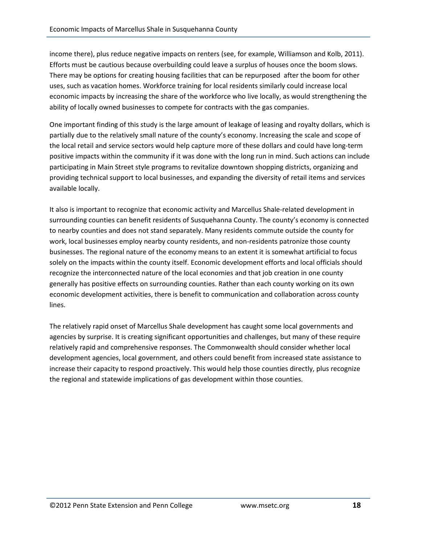income there), plus reduce negative impacts on renters (see, for example, Williamson and Kolb, 2011). Efforts must be cautious because overbuilding could leave a surplus of houses once the boom slows. There may be options for creating housing facilities that can be repurposed after the boom for other uses, such as vacation homes. Workforce training for local residents similarly could increase local economic impacts by increasing the share of the workforce who live locally, as would strengthening the ability of locally owned businesses to compete for contracts with the gas companies.

One important finding of this study is the large amount of leakage of leasing and royalty dollars, which is partially due to the relatively small nature of the county's economy. Increasing the scale and scope of the local retail and service sectors would help capture more of these dollars and could have long-term positive impacts within the community if it was done with the long run in mind. Such actions can include participating in Main Street style programs to revitalize downtown shopping districts, organizing and providing technical support to local businesses, and expanding the diversity of retail items and services available locally.

It also is important to recognize that economic activity and Marcellus Shale-related development in surrounding counties can benefit residents of Susquehanna County. The county's economy is connected to nearby counties and does not stand separately. Many residents commute outside the county for work, local businesses employ nearby county residents, and non-residents patronize those county businesses. The regional nature of the economy means to an extent it is somewhat artificial to focus solely on the impacts within the county itself. Economic development efforts and local officials should recognize the interconnected nature of the local economies and that job creation in one county generally has positive effects on surrounding counties. Rather than each county working on its own economic development activities, there is benefit to communication and collaboration across county lines.

The relatively rapid onset of Marcellus Shale development has caught some local governments and agencies by surprise. It is creating significant opportunities and challenges, but many of these require relatively rapid and comprehensive responses. The Commonwealth should consider whether local development agencies, local government, and others could benefit from increased state assistance to increase their capacity to respond proactively. This would help those counties directly, plus recognize the regional and statewide implications of gas development within those counties.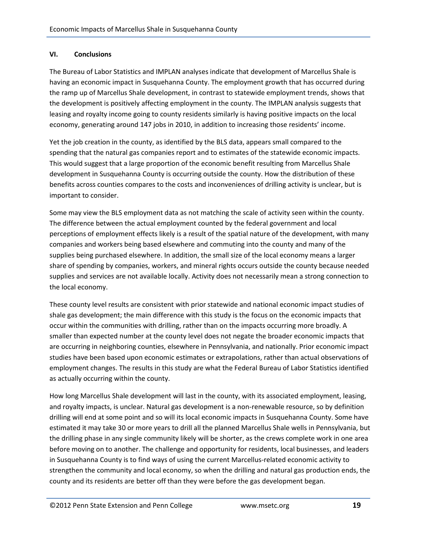#### **VI. Conclusions**

The Bureau of Labor Statistics and IMPLAN analyses indicate that development of Marcellus Shale is having an economic impact in Susquehanna County. The employment growth that has occurred during the ramp up of Marcellus Shale development, in contrast to statewide employment trends, shows that the development is positively affecting employment in the county. The IMPLAN analysis suggests that leasing and royalty income going to county residents similarly is having positive impacts on the local economy, generating around 147 jobs in 2010, in addition to increasing those residents' income.

Yet the job creation in the county, as identified by the BLS data, appears small compared to the spending that the natural gas companies report and to estimates of the statewide economic impacts. This would suggest that a large proportion of the economic benefit resulting from Marcellus Shale development in Susquehanna County is occurring outside the county. How the distribution of these benefits across counties compares to the costs and inconveniences of drilling activity is unclear, but is important to consider.

Some may view the BLS employment data as not matching the scale of activity seen within the county. The difference between the actual employment counted by the federal government and local perceptions of employment effects likely is a result of the spatial nature of the development, with many companies and workers being based elsewhere and commuting into the county and many of the supplies being purchased elsewhere. In addition, the small size of the local economy means a larger share of spending by companies, workers, and mineral rights occurs outside the county because needed supplies and services are not available locally. Activity does not necessarily mean a strong connection to the local economy.

These county level results are consistent with prior statewide and national economic impact studies of shale gas development; the main difference with this study is the focus on the economic impacts that occur within the communities with drilling, rather than on the impacts occurring more broadly. A smaller than expected number at the county level does not negate the broader economic impacts that are occurring in neighboring counties, elsewhere in Pennsylvania, and nationally. Prior economic impact studies have been based upon economic estimates or extrapolations, rather than actual observations of employment changes. The results in this study are what the Federal Bureau of Labor Statistics identified as actually occurring within the county.

How long Marcellus Shale development will last in the county, with its associated employment, leasing, and royalty impacts, is unclear. Natural gas development is a non-renewable resource, so by definition drilling will end at some point and so will its local economic impacts in Susquehanna County. Some have estimated it may take 30 or more years to drill all the planned Marcellus Shale wells in Pennsylvania, but the drilling phase in any single community likely will be shorter, as the crews complete work in one area before moving on to another. The challenge and opportunity for residents, local businesses, and leaders in Susquehanna County is to find ways of using the current Marcellus-related economic activity to strengthen the community and local economy, so when the drilling and natural gas production ends, the county and its residents are better off than they were before the gas development began.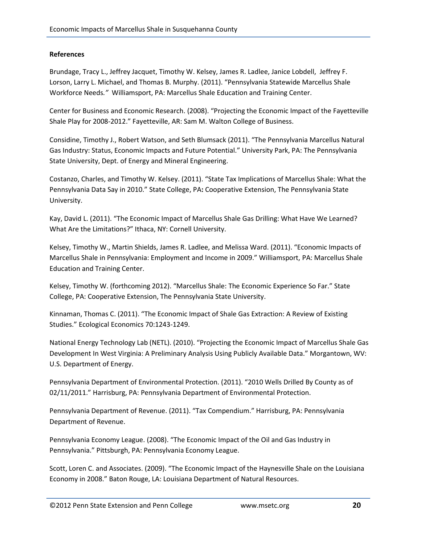#### **References**

Brundage, Tracy L., Jeffrey Jacquet, Timothy W. Kelsey, James R. Ladlee, Janice Lobdell, Jeffrey F. Lorson, Larry L. Michael, and Thomas B. Murphy. (2011). "Pennsylvania Statewide Marcellus Shale Workforce Needs*."* Williamsport, PA: Marcellus Shale Education and Training Center.

Center for Business and Economic Research. (2008). "Projecting the Economic Impact of the Fayetteville Shale Play for 2008-2012." Fayetteville, AR: Sam M. Walton College of Business.

Considine, Timothy J., Robert Watson, and Seth Blumsack (2011). "The Pennsylvania Marcellus Natural Gas Industry: Status, Economic Impacts and Future Potential." University Park, PA: The Pennsylvania State University, Dept. of Energy and Mineral Engineering.

Costanzo, Charles, and Timothy W. Kelsey. (2011). "State Tax Implications of Marcellus Shale: What the Pennsylvania Data Say in 2010." State College, PA**:** Cooperative Extension, The Pennsylvania State University.

Kay, David L. (2011). "The Economic Impact of Marcellus Shale Gas Drilling: What Have We Learned? What Are the Limitations?" Ithaca, NY: Cornell University.

Kelsey, Timothy W., Martin Shields, James R. Ladlee, and Melissa Ward. (2011). "Economic Impacts of Marcellus Shale in Pennsylvania: Employment and Income in 2009." Williamsport, PA: Marcellus Shale Education and Training Center.

Kelsey, Timothy W. (forthcoming 2012). "Marcellus Shale: The Economic Experience So Far." State College, PA: Cooperative Extension, The Pennsylvania State University.

Kinnaman, Thomas C. (2011). "The Economic Impact of Shale Gas Extraction: A Review of Existing Studies." Ecological Economics 70:1243-1249.

National Energy Technology Lab (NETL). (2010). "Projecting the Economic Impact of Marcellus Shale Gas Development In West Virginia: A Preliminary Analysis Using Publicly Available Data." Morgantown, WV: U.S. Department of Energy.

Pennsylvania Department of Environmental Protection. (2011). "2010 Wells Drilled By County as of 02/11/2011." Harrisburg, PA: Pennsylvania Department of Environmental Protection.

Pennsylvania Department of Revenue. (2011). "Tax Compendium." Harrisburg, PA: Pennsylvania Department of Revenue.

Pennsylvania Economy League. (2008). "The Economic Impact of the Oil and Gas Industry in Pennsylvania." Pittsburgh, PA: Pennsylvania Economy League.

Scott, Loren C. and Associates. (2009). "The Economic Impact of the Haynesville Shale on the Louisiana Economy in 2008." Baton Rouge, LA: Louisiana Department of Natural Resources.